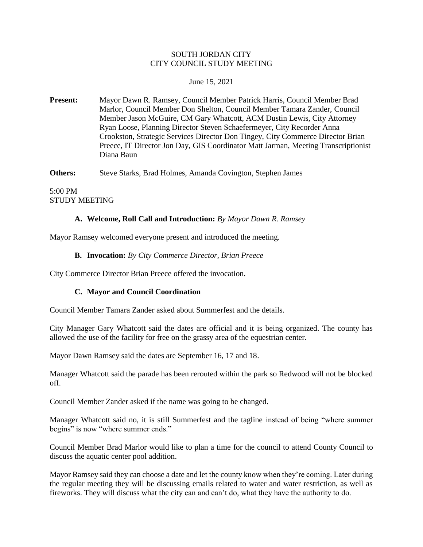### SOUTH JORDAN CITY CITY COUNCIL STUDY MEETING

#### June 15, 2021

**Present:** Mayor Dawn R. Ramsey, Council Member Patrick Harris, Council Member Brad Marlor, Council Member Don Shelton, Council Member Tamara Zander, Council Member Jason McGuire, CM Gary Whatcott, ACM Dustin Lewis, City Attorney Ryan Loose, Planning Director Steven Schaefermeyer, City Recorder Anna Crookston, Strategic Services Director Don Tingey, City Commerce Director Brian Preece, IT Director Jon Day, GIS Coordinator Matt Jarman, Meeting Transcriptionist Diana Baun

**Others:** Steve Starks, Brad Holmes, Amanda Covington, Stephen James

#### 5:00 PM STUDY MEETING

### **A. Welcome, Roll Call and Introduction:** *By Mayor Dawn R. Ramsey*

Mayor Ramsey welcomed everyone present and introduced the meeting.

#### **B. Invocation:** *By City Commerce Director, Brian Preece*

City Commerce Director Brian Preece offered the invocation.

### **C. Mayor and Council Coordination**

Council Member Tamara Zander asked about Summerfest and the details.

City Manager Gary Whatcott said the dates are official and it is being organized. The county has allowed the use of the facility for free on the grassy area of the equestrian center.

Mayor Dawn Ramsey said the dates are September 16, 17 and 18.

Manager Whatcott said the parade has been rerouted within the park so Redwood will not be blocked off.

Council Member Zander asked if the name was going to be changed.

Manager Whatcott said no, it is still Summerfest and the tagline instead of being "where summer begins" is now "where summer ends."

Council Member Brad Marlor would like to plan a time for the council to attend County Council to discuss the aquatic center pool addition.

Mayor Ramsey said they can choose a date and let the county know when they're coming. Later during the regular meeting they will be discussing emails related to water and water restriction, as well as fireworks. They will discuss what the city can and can't do, what they have the authority to do.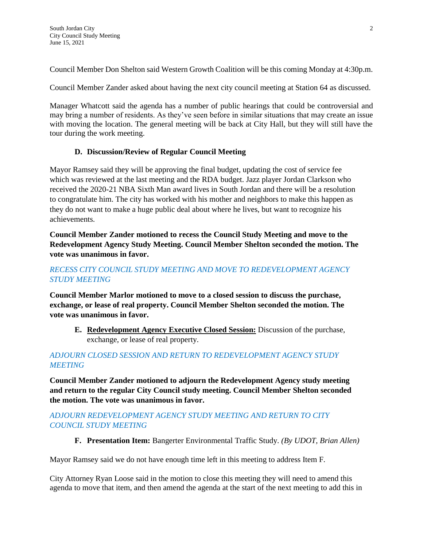Council Member Don Shelton said Western Growth Coalition will be this coming Monday at 4:30p.m.

Council Member Zander asked about having the next city council meeting at Station 64 as discussed.

Manager Whatcott said the agenda has a number of public hearings that could be controversial and may bring a number of residents. As they've seen before in similar situations that may create an issue with moving the location. The general meeting will be back at City Hall, but they will still have the tour during the work meeting.

# **D. Discussion/Review of Regular Council Meeting**

Mayor Ramsey said they will be approving the final budget, updating the cost of service fee which was reviewed at the last meeting and the RDA budget. Jazz player Jordan Clarkson who received the 2020-21 NBA Sixth Man award lives in South Jordan and there will be a resolution to congratulate him. The city has worked with his mother and neighbors to make this happen as they do not want to make a huge public deal about where he lives, but want to recognize his achievements.

**Council Member Zander motioned to recess the Council Study Meeting and move to the Redevelopment Agency Study Meeting. Council Member Shelton seconded the motion. The vote was unanimous in favor.**

## *RECESS CITY COUNCIL STUDY MEETING AND MOVE TO REDEVELOPMENT AGENCY STUDY MEETING*

**Council Member Marlor motioned to move to a closed session to discuss the purchase, exchange, or lease of real property. Council Member Shelton seconded the motion. The vote was unanimous in favor.**

**E. Redevelopment Agency Executive Closed Session:** Discussion of the purchase, exchange, or lease of real property.

# *ADJOURN CLOSED SESSION AND RETURN TO REDEVELOPMENT AGENCY STUDY MEETING*

**Council Member Zander motioned to adjourn the Redevelopment Agency study meeting and return to the regular City Council study meeting. Council Member Shelton seconded the motion. The vote was unanimous in favor.**

## *ADJOURN REDEVELOPMENT AGENCY STUDY MEETING AND RETURN TO CITY COUNCIL STUDY MEETING*

**F. Presentation Item:** Bangerter Environmental Traffic Study. *(By UDOT, Brian Allen)*

Mayor Ramsey said we do not have enough time left in this meeting to address Item F.

City Attorney Ryan Loose said in the motion to close this meeting they will need to amend this agenda to move that item, and then amend the agenda at the start of the next meeting to add this in